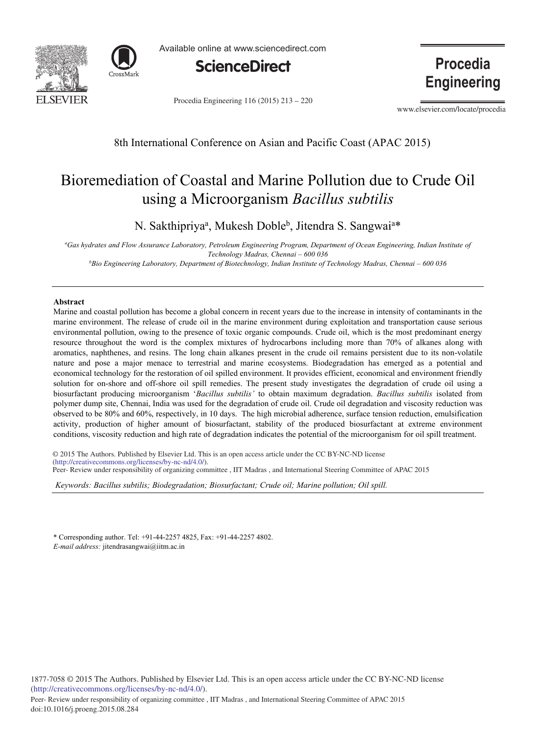



Available online at www.sciencedirect.com



Procedia Engineering 116 (2015) 213 - 220

**Procedia Engineering** 

www.elsevier.com/locate/procedia

8th International Conference on Asian and Pacific Coast (APAC 2015)

# Bioremediation of Coastal and Marine Pollution due to Crude Oil using a Microorganism *Bacillus subtilis*

N. Sakthipriya<sup>a</sup>, Mukesh Doble<sup>b</sup>, Jitendra S. Sangwai<sup>a\*</sup>

*a Gas hydrates and Flow Assurance Laboratory, Petroleum Engineering Program, Department of Ocean Engineering, Indian Institute of Technology Madras, Chennai – 600 036 b*Bio Engineering Laboratory, Department of Biotechnology, Indian Institute of Technology Madras, Chennai – 600 036

## **Abstract**

Marine and coastal pollution has become a global concern in recent years due to the increase in intensity of contaminants in the marine environment. The release of crude oil in the marine environment during exploitation and transportation cause serious environmental pollution, owing to the presence of toxic organic compounds. Crude oil, which is the most predominant energy resource throughout the word is the complex mixtures of hydrocarbons including more than 70% of alkanes along with aromatics, naphthenes, and resins. The long chain alkanes present in the crude oil remains persistent due to its non-volatile nature and pose a major menace to terrestrial and marine ecosystems. Biodegradation has emerged as a potential and economical technology for the restoration of oil spilled environment. It provides efficient, economical and environment friendly solution for on-shore and off-shore oil spill remedies. The present study investigates the degradation of crude oil using a biosurfactant producing microorganism '*Bacillus subtilis'* to obtain maximum degradation. *Bacillus subtilis* isolated from polymer dump site, Chennai, India was used for the degradation of crude oil. Crude oil degradation and viscosity reduction was observed to be 80% and 60%, respectively, in 10 days. The high microbial adherence, surface tension reduction, emulsification activity, production of higher amount of biosurfactant, stability of the produced biosurfactant at extreme environment conditions, viscosity reduction and high rate of degradation indicates the potential of the microorganism for oil spill treatment.

© 2015 The Authors. Published by Elsevier Ltd. This is an open access article under the CC BY-NC-ND license (nup://creauvecommons.org/ncenses/by-nc-nu/4.0/).<br>Peer- Review under responsibility of organizing committee , IIT Madras , and International Steering Committee of APAC 2015 (http://creativecommons.org/licenses/by-nc-nd/4.0/).

*Keywords: Bacillus subtilis; Biodegradation; Biosurfactant; Crude oil; Marine pollution; Oil spill.* 

\* Corresponding author. Tel: +91-44-2257 4825, Fax: +91-44-2257 4802. *E-mail address:* jitendrasangwai@iitm.ac.in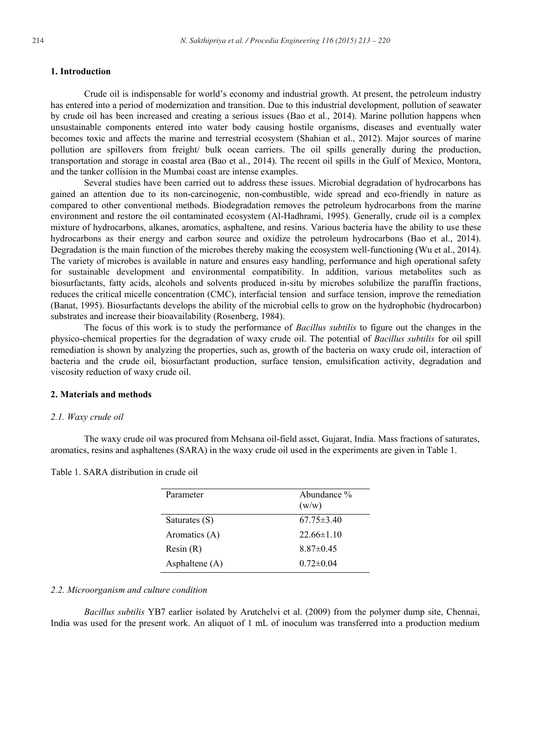## **1. Introduction**

Crude oil is indispensable for world's economy and industrial growth. At present, the petroleum industry has entered into a period of modernization and transition. Due to this industrial development, pollution of seawater by crude oil has been increased and creating a serious issues (Bao et al., 2014). Marine pollution happens when unsustainable components entered into water body causing hostile organisms, diseases and eventually water becomes toxic and affects the marine and terrestrial ecosystem (Shahian et al., 2012). Major sources of marine pollution are spillovers from freight/ bulk ocean carriers. The oil spills generally during the production, transportation and storage in coastal area (Bao et al., 2014). The recent oil spills in the Gulf of Mexico, Montora, and the tanker collision in the Mumbai coast are intense examples.

Several studies have been carried out to address these issues. Microbial degradation of hydrocarbons has gained an attention due to its non-carcinogenic, non-combustible, wide spread and eco-friendly in nature as compared to other conventional methods. Biodegradation removes the petroleum hydrocarbons from the marine environment and restore the oil contaminated ecosystem (Al-Hadhrami, 1995). Generally, crude oil is a complex mixture of hydrocarbons, alkanes, aromatics, asphaltene, and resins. Various bacteria have the ability to use these hydrocarbons as their energy and carbon source and oxidize the petroleum hydrocarbons (Bao et al., 2014). Degradation is the main function of the microbes thereby making the ecosystem well-functioning (Wu et al., 2014). The variety of microbes is available in nature and ensures easy handling, performance and high operational safety for sustainable development and environmental compatibility. In addition, various metabolites such as biosurfactants, fatty acids, alcohols and solvents produced in-situ by microbes solubilize the paraffin fractions, reduces the critical micelle concentration (CMC), interfacial tension and surface tension, improve the remediation (Banat, 1995). Biosurfactants develops the ability of the microbial cells to grow on the hydrophobic (hydrocarbon) substrates and increase their bioavailability (Rosenberg, 1984).

The focus of this work is to study the performance of *Bacillus subtilis* to figure out the changes in the physico-chemical properties for the degradation of waxy crude oil. The potential of *Bacillus subtilis* for oil spill remediation is shown by analyzing the properties, such as, growth of the bacteria on waxy crude oil, interaction of bacteria and the crude oil, biosurfactant production, surface tension, emulsification activity, degradation and viscosity reduction of waxy crude oil.

## **2. Materials and methods**

#### *2.1. Waxy crude oil*

The waxy crude oil was procured from Mehsana oil-field asset, Gujarat, India. Mass fractions of saturates, aromatics, resins and asphaltenes (SARA) in the waxy crude oil used in the experiments are given in Table 1.

Table 1. SARA distribution in crude oil

| Parameter      | Abundance %<br>(w/w) |
|----------------|----------------------|
| Saturates (S)  | $67.75 \pm 3.40$     |
| Aromatics (A)  | $22.66\pm1.10$       |
| Resin(R)       | $8.87\pm0.45$        |
| Asphaltene (A) | $0.72 \pm 0.04$      |

# *2.2. Microorganism and culture condition*

*Bacillus subtilis* YB7 earlier isolated by Arutchelvi et al. (2009) from the polymer dump site, Chennai, India was used for the present work. An aliquot of 1 mL of inoculum was transferred into a production medium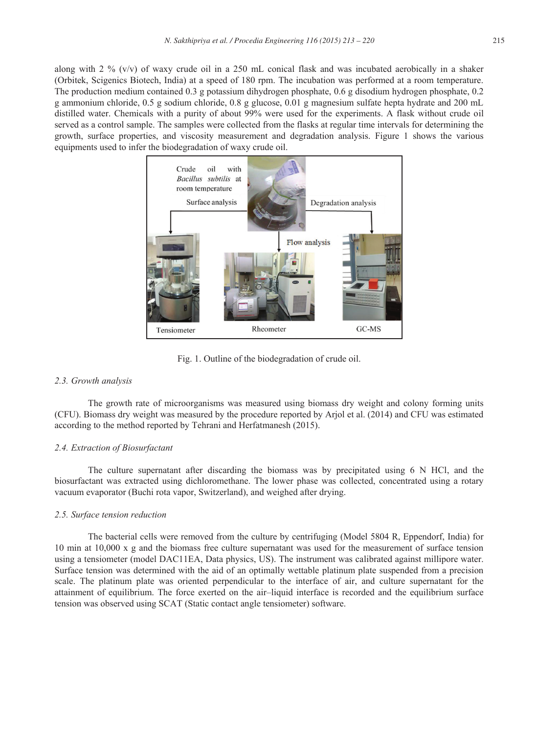along with 2 % ( $v/v$ ) of waxy crude oil in a 250 mL conical flask and was incubated aerobically in a shaker (Orbitek, Scigenics Biotech, India) at a speed of 180 rpm. The incubation was performed at a room temperature. The production medium contained 0.3 g potassium dihydrogen phosphate, 0.6 g disodium hydrogen phosphate, 0.2 g ammonium chloride, 0.5 g sodium chloride, 0.8 g glucose, 0.01 g magnesium sulfate hepta hydrate and 200 mL distilled water. Chemicals with a purity of about 99% were used for the experiments. A flask without crude oil served as a control sample. The samples were collected from the flasks at regular time intervals for determining the growth, surface properties, and viscosity measurement and degradation analysis. Figure 1 shows the various equipments used to infer the biodegradation of waxy crude oil.



Fig. 1. Outline of the biodegradation of crude oil.

## *2.3. Growth analysis*

The growth rate of microorganisms was measured using biomass dry weight and colony forming units (CFU). Biomass dry weight was measured by the procedure reported by Arjol et al. (2014) and CFU was estimated according to the method reported by Tehrani and Herfatmanesh (2015).

# *2.4. Extraction of Biosurfactant*

The culture supernatant after discarding the biomass was by precipitated using 6 N HCl, and the biosurfactant was extracted using dichloromethane. The lower phase was collected, concentrated using a rotary vacuum evaporator (Buchi rota vapor, Switzerland), and weighed after drying.

#### *2.5. Surface tension reduction*

The bacterial cells were removed from the culture by centrifuging (Model 5804 R, Eppendorf, India) for 10 min at 10,000 x g and the biomass free culture supernatant was used for the measurement of surface tension using a tensiometer (model DAC11EA, Data physics, US). The instrument was calibrated against millipore water. Surface tension was determined with the aid of an optimally wettable platinum plate suspended from a precision scale. The platinum plate was oriented perpendicular to the interface of air, and culture supernatant for the attainment of equilibrium. The force exerted on the air–liquid interface is recorded and the equilibrium surface tension was observed using SCAT (Static contact angle tensiometer) software.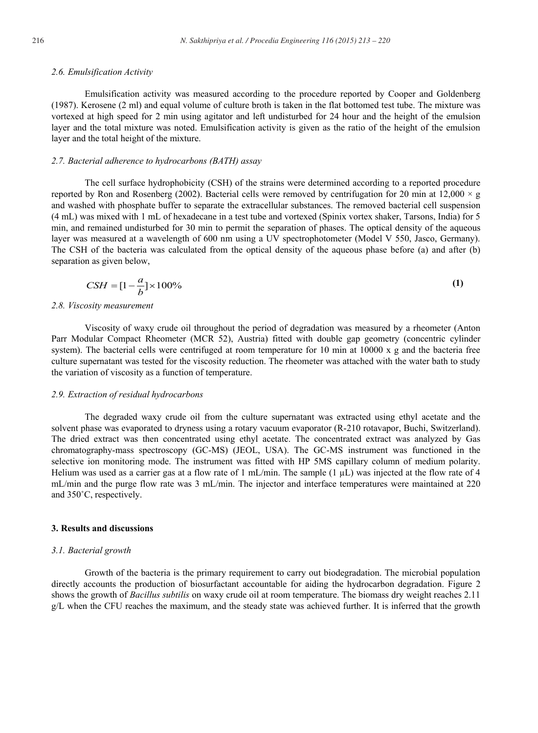## *2.6. Emulsification Activity*

Emulsification activity was measured according to the procedure reported by Cooper and Goldenberg (1987). Kerosene (2 ml) and equal volume of culture broth is taken in the flat bottomed test tube. The mixture was vortexed at high speed for 2 min using agitator and left undisturbed for 24 hour and the height of the emulsion layer and the total mixture was noted. Emulsification activity is given as the ratio of the height of the emulsion layer and the total height of the mixture.

#### *2.7. Bacterial adherence to hydrocarbons (BATH) assay*

The cell surface hydrophobicity (CSH) of the strains were determined according to a reported procedure reported by Ron and Rosenberg (2002). Bacterial cells were removed by centrifugation for 20 min at 12,000  $\times$  g and washed with phosphate buffer to separate the extracellular substances. The removed bacterial cell suspension (4 mL) was mixed with 1 mL of hexadecane in a test tube and vortexed (Spinix vortex shaker, Tarsons, India) for 5 min, and remained undisturbed for 30 min to permit the separation of phases. The optical density of the aqueous layer was measured at a wavelength of 600 nm using a UV spectrophotometer (Model V 550, Jasco, Germany). The CSH of the bacteria was calculated from the optical density of the aqueous phase before (a) and after (b) separation as given below,

$$
CSH = \left[1 - \frac{a}{b}\right] \times 100\%
$$
\n<sup>(1)</sup>

#### *2.8. Viscosity measurement*

Viscosity of waxy crude oil throughout the period of degradation was measured by a rheometer (Anton Parr Modular Compact Rheometer (MCR 52), Austria) fitted with double gap geometry (concentric cylinder system). The bacterial cells were centrifuged at room temperature for 10 min at  $10000 \times g$  and the bacteria free culture supernatant was tested for the viscosity reduction. The rheometer was attached with the water bath to study the variation of viscosity as a function of temperature.

#### *2.9. Extraction of residual hydrocarbons*

The degraded waxy crude oil from the culture supernatant was extracted using ethyl acetate and the solvent phase was evaporated to dryness using a rotary vacuum evaporator (R-210 rotavapor, Buchi, Switzerland). The dried extract was then concentrated using ethyl acetate. The concentrated extract was analyzed by Gas chromatography-mass spectroscopy (GC-MS) (JEOL, USA). The GC-MS instrument was functioned in the selective ion monitoring mode. The instrument was fitted with HP 5MS capillary column of medium polarity. Helium was used as a carrier gas at a flow rate of 1 mL/min. The sample  $(1 \mu L)$  was injected at the flow rate of 4 mL/min and the purge flow rate was 3 mL/min. The injector and interface temperatures were maintained at 220 and 350˚C, respectively.

# **3. Results and discussions**

#### *3.1. Bacterial growth*

Growth of the bacteria is the primary requirement to carry out biodegradation. The microbial population directly accounts the production of biosurfactant accountable for aiding the hydrocarbon degradation. Figure 2 shows the growth of *Bacillus subtilis* on waxy crude oil at room temperature. The biomass dry weight reaches 2.11 g/L when the CFU reaches the maximum, and the steady state was achieved further. It is inferred that the growth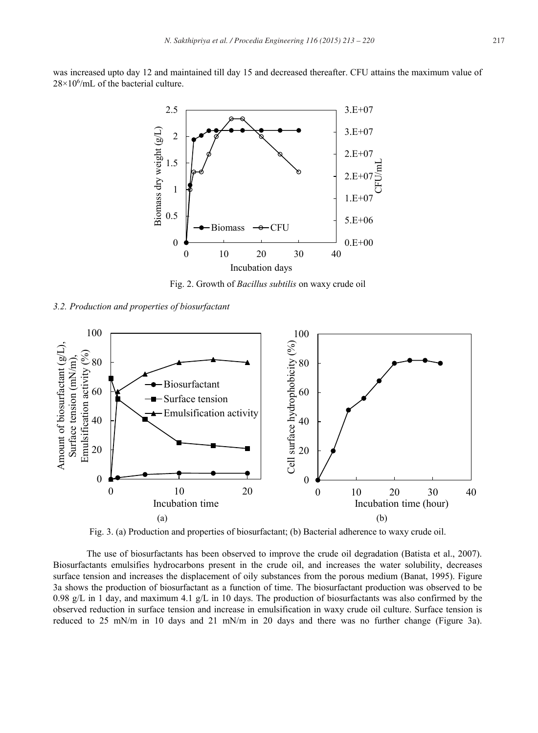was increased upto day 12 and maintained till day 15 and decreased thereafter. CFU attains the maximum value of  $28\times10^6$ /mL of the bacterial culture.



Fig. 2. Growth of *Bacillus subtilis* on waxy crude oil

*3.2. Production and properties of biosurfactant*



Fig. 3. (a) Production and properties of biosurfactant; (b) Bacterial adherence to waxy crude oil.

The use of biosurfactants has been observed to improve the crude oil degradation (Batista et al., 2007). Biosurfactants emulsifies hydrocarbons present in the crude oil, and increases the water solubility, decreases surface tension and increases the displacement of oily substances from the porous medium (Banat, 1995). Figure 3a shows the production of biosurfactant as a function of time. The biosurfactant production was observed to be 0.98 g/L in 1 day, and maximum 4.1 g/L in 10 days. The production of biosurfactants was also confirmed by the observed reduction in surface tension and increase in emulsification in waxy crude oil culture. Surface tension is reduced to 25 mN/m in 10 days and 21 mN/m in 20 days and there was no further change (Figure 3a).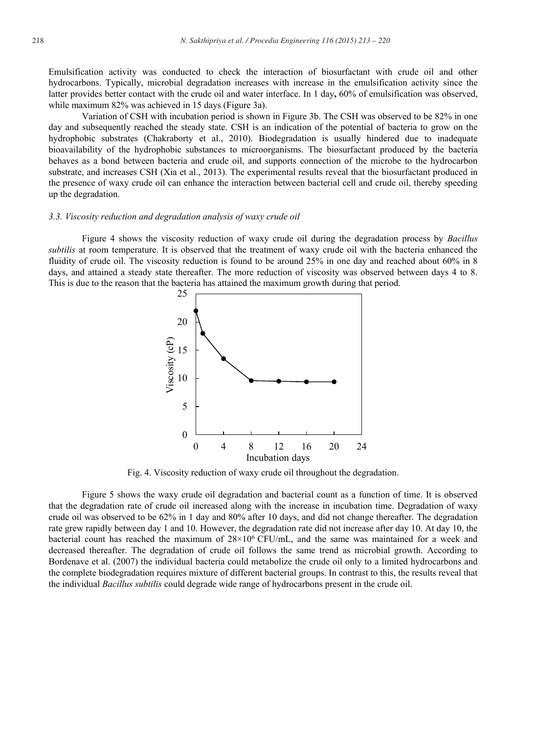Emulsification activity was conducted to check the interaction of biosurfactant with crude oil and other hydrocarbons. Typically, microbial degradation increases with increase in the emulsification activity since the latter provides better contact with the crude oil and water interface. In 1 day**,** 60% of emulsification was observed, while maximum 82% was achieved in 15 days (Figure 3a).

Variation of CSH with incubation period is shown in Figure 3b. The CSH was observed to be 82% in one day and subsequently reached the steady state. CSH is an indication of the potential of bacteria to grow on the hydrophobic substrates (Chakraborty et al., 2010). Biodegradation is usually hindered due to inadequate bioavailability of the hydrophobic substances to microorganisms. The biosurfactant produced by the bacteria behaves as a bond between bacteria and crude oil, and supports connection of the microbe to the hydrocarbon substrate, and increases CSH (Xia et al., 2013). The experimental results reveal that the biosurfactant produced in the presence of waxy crude oil can enhance the interaction between bacterial cell and crude oil, thereby speeding up the degradation.

## *3.3. Viscosity reduction and degradation analysis of waxy crude oil*

Figure 4 shows the viscosity reduction of waxy crude oil during the degradation process by *Bacillus subtilis* at room temperature. It is observed that the treatment of waxy crude oil with the bacteria enhanced the fluidity of crude oil. The viscosity reduction is found to be around 25% in one day and reached about 60% in 8 days, and attained a steady state thereafter. The more reduction of viscosity was observed between days 4 to 8. This is due to the reason that the bacteria has attained the maximum growth during that period.



Fig. 4. Viscosity reduction of waxy crude oil throughout the degradation.

Figure 5 shows the waxy crude oil degradation and bacterial count as a function of time. It is observed that the degradation rate of crude oil increased along with the increase in incubation time. Degradation of waxy crude oil was observed to be 62% in 1 day and 80% after 10 days, and did not change thereafter. The degradation rate grew rapidly between day 1 and 10. However, the degradation rate did not increase after day 10. At day 10, the bacterial count has reached the maximum of  $28\times10^6$  CFU/mL, and the same was maintained for a week and decreased thereafter. The degradation of crude oil follows the same trend as microbial growth. According to Bordenave et al. (2007) the individual bacteria could metabolize the crude oil only to a limited hydrocarbons and the complete biodegradation requires mixture of different bacterial groups. In contrast to this, the results reveal that the individual *Bacillus subtilis* could degrade wide range of hydrocarbons present in the crude oil.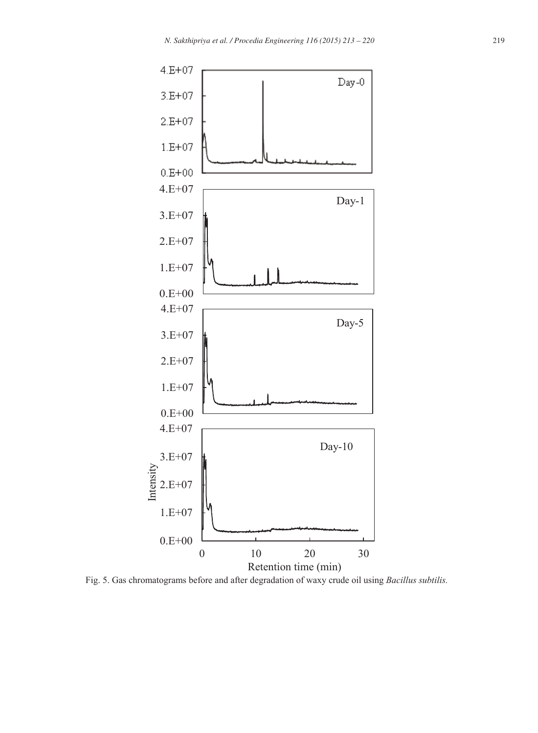

Fig. 5. Gas chromatograms before and after degradation of waxy crude oil using *Bacillus subtilis.*